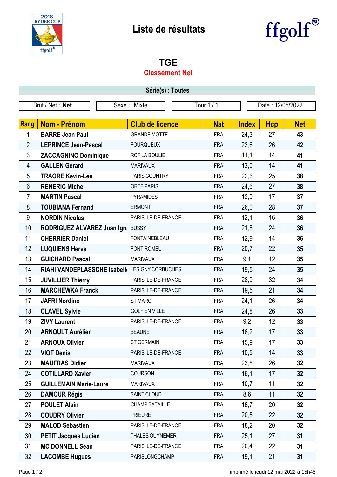

# **Liste de résultats**



#### **TGE**

#### **Classement Net**

| Série(s) : Toutes |                                                |             |                        |          |                  |              |            |            |
|-------------------|------------------------------------------------|-------------|------------------------|----------|------------------|--------------|------------|------------|
| Brut / Net : Net  |                                                | Sexe: Mixte |                        | Tour 1/1 | Date: 12/05/2022 |              |            |            |
|                   |                                                |             |                        |          |                  |              |            |            |
| <b>Rang</b>       | <b>Nom - Prénom</b>                            |             | <b>Club de licence</b> |          | <b>Nat</b>       | <b>Index</b> | <b>Hcp</b> | <b>Net</b> |
| 1                 | <b>BARRE Jean Paul</b>                         |             | <b>GRANDE MOTTE</b>    |          | <b>FRA</b>       | 24,3         | 27         | 43         |
| $\overline{2}$    | <b>LEPRINCE Jean-Pascal</b>                    |             | <b>FOURQUEUX</b>       |          | <b>FRA</b>       | 23,6         | 26         | 42         |
| 3                 | <b>ZACCAGNINO Dominique</b>                    |             | <b>RCF LA BOULIE</b>   |          | <b>FRA</b>       | 11,1         | 14         | 41         |
| 4                 | <b>GALLEN Gérard</b>                           |             | <b>MARIVAUX</b>        |          | <b>FRA</b>       | 13,0         | 14         | 41         |
| 5                 | <b>TRAORE Kevin-Lee</b>                        |             | PARIS COUNTRY          |          | <b>FRA</b>       | 22,6         | 25         | 38         |
| $6\phantom{1}$    | <b>RENERIC Michel</b>                          |             | <b>ORTF PARIS</b>      |          | <b>FRA</b>       | 24,6         | 27         | 38         |
| 7                 | <b>MARTIN Pascal</b>                           |             | <b>PYRAMIDES</b>       |          | <b>FRA</b>       | 12,9         | 17         | 37         |
| 8                 | <b>TOUBIANA Fernand</b>                        |             | <b>ERMONT</b>          |          | <b>FRA</b>       | 26,0         | 28         | 37         |
| 9                 | <b>NORDIN Nicolas</b>                          |             | PARIS ILE-DE-FRANCE    |          | <b>FRA</b>       | 12,1         | 16         | 36         |
| 10                | RODRIGUEZ ALVAREZ Juan Ign BUSSY               |             |                        |          | <b>FRA</b>       | 21,8         | 24         | 36         |
| 11                | <b>CHERRIER Daniel</b>                         |             | <b>FONTAINEBLEAU</b>   |          | <b>FRA</b>       | 12,9         | 14         | 36         |
| 12                | <b>LUQUIENS Herve</b>                          |             | FONT ROMEU             |          | <b>FRA</b>       | 20,7         | 22         | 35         |
| 13                | <b>GUICHARD Pascal</b>                         |             | <b>MARIVAUX</b>        |          | <b>FRA</b>       | 9,1          | 12         | 35         |
| 14                | RIAHI VANDEPLASSCHE Isabell( LESIGNY CORBUCHES |             |                        |          | <b>FRA</b>       | 19,5         | 24         | 35         |
| 15                | <b>JUVILLIER Thierry</b>                       |             | PARIS ILE-DE-FRANCE    |          | <b>FRA</b>       | 28,9         | 32         | 34         |
| 16                | <b>MARCHEWKA Franck</b>                        |             | PARIS ILE-DE-FRANCE    |          | <b>FRA</b>       | 19,5         | 21         | 34         |
| 17                | <b>JAFRI Nordine</b>                           |             | <b>ST MARC</b>         |          | <b>FRA</b>       | 24,1         | 26         | 34         |
| 18                | <b>CLAVEL Sylvie</b>                           |             | <b>GOLF EN VILLE</b>   |          | <b>FRA</b>       | 24,8         | 26         | 33         |
| 19                | <b>ZIVY Laurent</b>                            |             | PARIS ILE-DE-FRANCE    |          | <b>FRA</b>       | 9,2          | 12         | 33         |
| 20                | <b>ARNOULT Aurélien</b>                        |             | <b>BEAUNE</b>          |          | <b>FRA</b>       | 16,2         | 17         | 33         |
| 21                | <b>ARNOUX Olivier</b>                          |             | <b>ST GERMAIN</b>      |          | <b>FRA</b>       | 15,9         | 17         | 33         |
| 22                | <b>VIOT Denis</b>                              |             | PARIS ILE-DE-FRANCE    |          | <b>FRA</b>       | 10,5         | 14         | 33         |
| 23                | <b>MAUFRAS Didier</b>                          |             | <b>MARIVAUX</b>        |          | <b>FRA</b>       | 23,8         | 26         | 32         |
| 24                | <b>COTILLARD Xavier</b>                        |             | <b>COURSON</b>         |          | <b>FRA</b>       | 16,1         | 17         | 32         |
| 25                | <b>GUILLEMAIN Marie-Laure</b>                  |             | <b>MARIVAUX</b>        |          | <b>FRA</b>       | 10,7         | 11         | 32         |
| 26                | <b>DAMOUR Régis</b>                            |             | SAINT CLOUD            |          | <b>FRA</b>       | 8,6          | 11         | 32         |
| 27                | <b>POULET Alain</b>                            |             | <b>CHAMP BATAILLE</b>  |          | <b>FRA</b>       | 18,7         | 20         | 32         |
| 28                | <b>COUDRY Olivier</b>                          |             | <b>PRIEURE</b>         |          | <b>FRA</b>       | 20,5         | 22         | 32         |
| 29                | <b>MALOD Sébastien</b>                         |             | PARIS ILE-DE-FRANCE    |          | <b>FRA</b>       | 18,2         | 20         | 32         |
| 30                | <b>PETIT Jacques Lucien</b>                    |             | <b>THALES GUYNEMER</b> |          | <b>FRA</b>       | 25,1         | 27         | 31         |
| 31                | <b>MC DONNELL Sean</b>                         |             | PARIS ILE-DE-FRANCE    |          | <b>FRA</b>       | 20,4         | 22         | 31         |
| 32                | <b>LACOMBE Hugues</b>                          |             | PARISLONGCHAMP         |          | <b>FRA</b>       | 19,1         | 21         | 31         |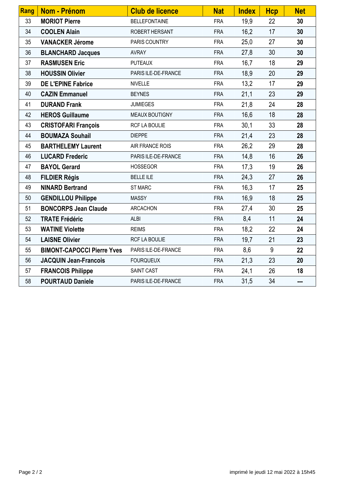| Rang | <b>Nom - Prénom</b>               | <b>Club de licence</b> | <b>Nat</b> | <b>Index</b> | <b>Hcp</b> | <b>Net</b> |
|------|-----------------------------------|------------------------|------------|--------------|------------|------------|
| 33   | <b>MORIOT Pierre</b>              | <b>BELLEFONTAINE</b>   | <b>FRA</b> | 19,9         | 22         | 30         |
| 34   | <b>COOLEN Alain</b>               | ROBERT HERSANT         | <b>FRA</b> | 16,2         | 17         | 30         |
| 35   | <b>VANACKER Jérome</b>            | PARIS COUNTRY          | <b>FRA</b> | 25,0         | 27         | 30         |
| 36   | <b>BLANCHARD Jacques</b>          | <b>AVRAY</b>           | <b>FRA</b> | 27,8         | 30         | 30         |
| 37   | <b>RASMUSEN Eric</b>              | <b>PUTEAUX</b>         | <b>FRA</b> | 16,7         | 18         | 29         |
| 38   | <b>HOUSSIN Olivier</b>            | PARIS ILE-DE-FRANCE    | <b>FRA</b> | 18,9         | 20         | 29         |
| 39   | <b>DE L'EPINE Fabrice</b>         | <b>NIVELLE</b>         | <b>FRA</b> | 13,2         | 17         | 29         |
| 40   | <b>CAZIN Emmanuel</b>             | <b>BEYNES</b>          | <b>FRA</b> | 21,1         | 23         | 29         |
| 41   | <b>DURAND Frank</b>               | <b>JUMIEGES</b>        | <b>FRA</b> | 21,8         | 24         | 28         |
| 42   | <b>HEROS Guillaume</b>            | MEAUX BOUTIGNY         | <b>FRA</b> | 16,6         | 18         | 28         |
| 43   | <b>CRISTOFARI François</b>        | RCF LA BOULIE          | <b>FRA</b> | 30,1         | 33         | 28         |
| 44   | <b>BOUMAZA Souhail</b>            | <b>DIEPPE</b>          | <b>FRA</b> | 21,4         | 23         | 28         |
| 45   | <b>BARTHELEMY Laurent</b>         | AIR FRANCE ROIS        | <b>FRA</b> | 26,2         | 29         | 28         |
| 46   | <b>LUCARD Frederic</b>            | PARIS ILE-DE-FRANCE    | <b>FRA</b> | 14,8         | 16         | 26         |
| 47   | <b>BAYOL Gerard</b>               | <b>HOSSEGOR</b>        | <b>FRA</b> | 17,3         | 19         | 26         |
| 48   | <b>FILDIER Régis</b>              | <b>BELLE ILE</b>       | <b>FRA</b> | 24,3         | 27         | 26         |
| 49   | <b>NINARD Bertrand</b>            | <b>ST MARC</b>         | <b>FRA</b> | 16,3         | 17         | 25         |
| 50   | <b>GENDILLOU Philippe</b>         | <b>MASSY</b>           | <b>FRA</b> | 16,9         | 18         | 25         |
| 51   | <b>BONCORPS Jean Claude</b>       | <b>ARCACHON</b>        | <b>FRA</b> | 27,4         | 30         | 25         |
| 52   | <b>TRATE Frédéric</b>             | <b>ALBI</b>            | <b>FRA</b> | 8,4          | 11         | 24         |
| 53   | <b>WATINE Violette</b>            | <b>REIMS</b>           | <b>FRA</b> | 18,2         | 22         | 24         |
| 54   | <b>LAISNE Olivier</b>             | RCF LA BOULIE          | <b>FRA</b> | 19,7         | 21         | 23         |
| 55   | <b>BIMONT-CAPOCCI Pierre Yves</b> | PARIS ILE-DE-FRANCE    | <b>FRA</b> | 8,6          | 9          | 22         |
| 56   | <b>JACQUIN Jean-Francois</b>      | <b>FOURQUEUX</b>       | <b>FRA</b> | 21,3         | 23         | 20         |
| 57   | <b>FRANCOIS Philippe</b>          | SAINT CAST             | <b>FRA</b> | 24,1         | 26         | 18         |
| 58   | <b>POURTAUD Daniele</b>           | PARIS ILE-DE-FRANCE    | <b>FRA</b> | 31,5         | 34         | ---        |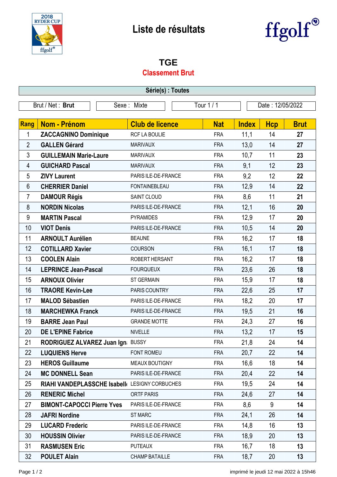

# **Liste de résultats**



### **TGE**

#### **Classement Brut**

| Série(s) : Toutes |                                                |             |                        |          |                  |              |            |             |
|-------------------|------------------------------------------------|-------------|------------------------|----------|------------------|--------------|------------|-------------|
| Brut / Net: Brut  |                                                | Sexe: Mixte |                        | Tour 1/1 | Date: 12/05/2022 |              |            |             |
|                   |                                                |             |                        |          |                  |              |            |             |
| <b>Rang</b>       | <b>Nom - Prénom</b>                            |             | <b>Club de licence</b> |          | <b>Nat</b>       | <b>Index</b> | <b>Hcp</b> | <b>Brut</b> |
| 1                 | <b>ZACCAGNINO Dominique</b>                    |             | RCF LA BOULIE          |          | <b>FRA</b>       | 11,1         | 14         | 27          |
| $\overline{2}$    | <b>GALLEN Gérard</b>                           |             | <b>MARIVAUX</b>        |          | <b>FRA</b>       | 13,0         | 14         | 27          |
| 3                 | <b>GUILLEMAIN Marie-Laure</b>                  |             | <b>MARIVAUX</b>        |          | <b>FRA</b>       | 10,7         | 11         | 23          |
| 4                 | <b>GUICHARD Pascal</b>                         |             | <b>MARIVAUX</b>        |          | <b>FRA</b>       | 9,1          | 12         | 23          |
| 5                 | <b>ZIVY Laurent</b>                            |             | PARIS ILE-DE-FRANCE    |          | <b>FRA</b>       | 9,2          | 12         | 22          |
| $6\phantom{1}$    | <b>CHERRIER Daniel</b>                         |             | <b>FONTAINEBLEAU</b>   |          | <b>FRA</b>       | 12,9         | 14         | 22          |
| 7                 | <b>DAMOUR Régis</b>                            |             | SAINT CLOUD            |          | <b>FRA</b>       | 8,6          | 11         | 21          |
| 8                 | <b>NORDIN Nicolas</b>                          |             | PARIS ILE-DE-FRANCE    |          | <b>FRA</b>       | 12,1         | 16         | 20          |
| 9                 | <b>MARTIN Pascal</b>                           |             | <b>PYRAMIDES</b>       |          | <b>FRA</b>       | 12,9         | 17         | 20          |
| 10                | <b>VIOT Denis</b>                              |             | PARIS ILE-DE-FRANCE    |          | <b>FRA</b>       | 10,5         | 14         | 20          |
| 11                | <b>ARNOULT Aurélien</b>                        |             | <b>BEAUNE</b>          |          | <b>FRA</b>       | 16,2         | 17         | 18          |
| 12                | <b>COTILLARD Xavier</b>                        |             | <b>COURSON</b>         |          | <b>FRA</b>       | 16,1         | 17         | 18          |
| 13                | <b>COOLEN Alain</b>                            |             | ROBERT HERSANT         |          | <b>FRA</b>       | 16,2         | 17         | 18          |
| 14                | <b>LEPRINCE Jean-Pascal</b>                    |             | <b>FOURQUEUX</b>       |          | <b>FRA</b>       | 23,6         | 26         | 18          |
| 15                | <b>ARNOUX Olivier</b>                          |             | <b>ST GERMAIN</b>      |          | <b>FRA</b>       | 15,9         | 17         | 18          |
| 16                | <b>TRAORE Kevin-Lee</b>                        |             | PARIS COUNTRY          |          | <b>FRA</b>       | 22,6         | 25         | 17          |
| 17                | <b>MALOD Sébastien</b>                         |             | PARIS ILE-DE-FRANCE    |          | <b>FRA</b>       | 18,2         | 20         | 17          |
| 18                | <b>MARCHEWKA Franck</b>                        |             | PARIS ILE-DE-FRANCE    |          | <b>FRA</b>       | 19,5         | 21         | 16          |
| 19                | <b>BARRE Jean Paul</b>                         |             | <b>GRANDE MOTTE</b>    |          | <b>FRA</b>       | 24,3         | 27         | 16          |
| 20                | <b>DE L'EPINE Fabrice</b>                      |             | <b>NIVELLE</b>         |          | <b>FRA</b>       | 13,2         | 17         | 15          |
| 21                | RODRIGUEZ ALVAREZ Juan Ign: BUSSY              |             |                        |          | <b>FRA</b>       | 21,8         | 24         | 14          |
| 22                | <b>LUQUIENS Herve</b>                          |             | FONT ROMEU             |          | <b>FRA</b>       | 20,7         | 22         | 14          |
| 23                | <b>HEROS Guillaume</b>                         |             | MEAUX BOUTIGNY         |          | <b>FRA</b>       | 16,6         | 18         | 14          |
| 24                | <b>MC DONNELL Sean</b>                         |             | PARIS ILE-DE-FRANCE    |          | <b>FRA</b>       | 20,4         | 22         | 14          |
| 25                | RIAHI VANDEPLASSCHE Isabell( LESIGNY CORBUCHES |             |                        |          | <b>FRA</b>       | 19,5         | 24         | 14          |
| 26                | <b>RENERIC Michel</b>                          |             | <b>ORTF PARIS</b>      |          | <b>FRA</b>       | 24,6         | 27         | 14          |
| 27                | <b>BIMONT-CAPOCCI Pierre Yves</b>              |             | PARIS ILE-DE-FRANCE    |          | <b>FRA</b>       | 8,6          | 9          | 14          |
| 28                | <b>JAFRI Nordine</b>                           |             | <b>ST MARC</b>         |          | <b>FRA</b>       | 24,1         | 26         | 14          |
| 29                | <b>LUCARD Frederic</b>                         |             | PARIS ILE-DE-FRANCE    |          | <b>FRA</b>       | 14,8         | 16         | 13          |
| 30                | <b>HOUSSIN Olivier</b>                         |             | PARIS ILE-DE-FRANCE    |          | <b>FRA</b>       | 18,9         | 20         | 13          |
| 31                | <b>RASMUSEN Eric</b>                           |             | <b>PUTEAUX</b>         |          | <b>FRA</b>       | 16,7         | 18         | 13          |
| 32                | <b>POULET Alain</b>                            |             | <b>CHAMP BATAILLE</b>  |          | <b>FRA</b>       | 18,7         | 20         | 13          |